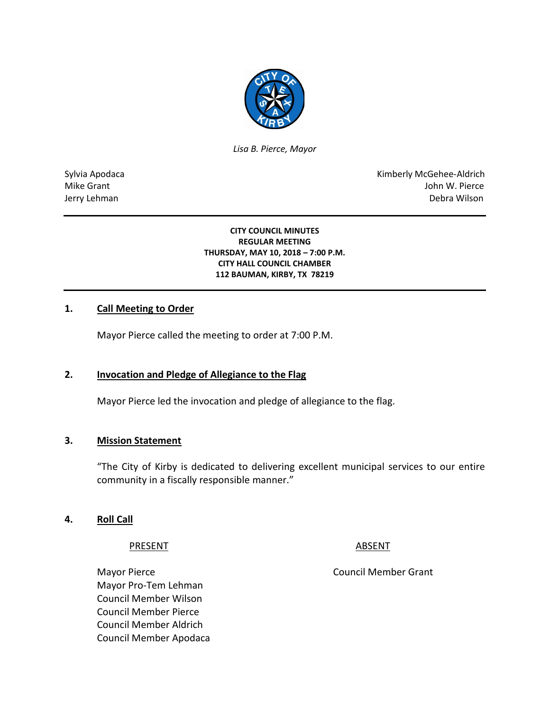

*Lisa B. Pierce, Mayor* 

Sylvia Apodaca **Kimberly McGehee-Aldrich** Mike Grant John W. Pierce Jerry Lehman Debra Wilson

#### **CITY COUNCIL MINUTES REGULAR MEETING THURSDAY, MAY 10, 2018 – 7:00 P.M. CITY HALL COUNCIL CHAMBER 112 BAUMAN, KIRBY, TX 78219**

## **1. Call Meeting to Order**

Mayor Pierce called the meeting to order at 7:00 P.M.

# **2. Invocation and Pledge of Allegiance to the Flag**

Mayor Pierce led the invocation and pledge of allegiance to the flag.

## **3. Mission Statement**

"The City of Kirby is dedicated to delivering excellent municipal services to our entire community in a fiscally responsible manner."

#### **4. Roll Call**

#### PRESENT ABSENT

Mayor Pierce **Council Member Grant** Mayor Pro-Tem Lehman Council Member Wilson Council Member Pierce Council Member Aldrich Council Member Apodaca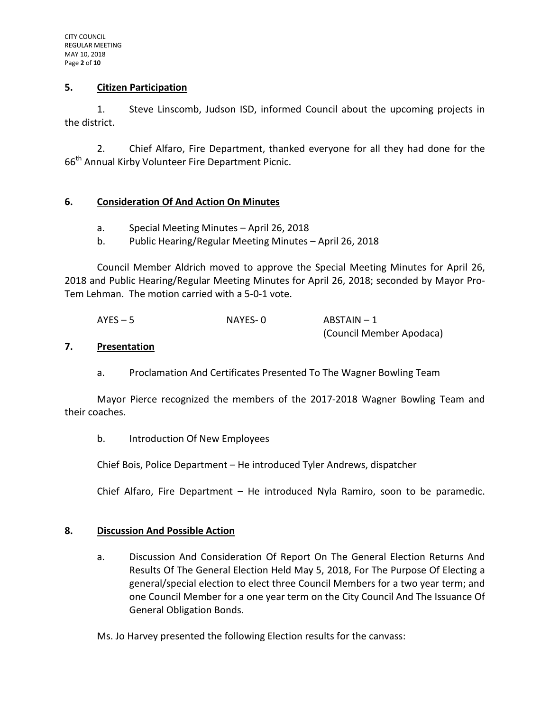### **5. Citizen Participation**

1. Steve Linscomb, Judson ISD, informed Council about the upcoming projects in the district.

2. Chief Alfaro, Fire Department, thanked everyone for all they had done for the 66<sup>th</sup> Annual Kirby Volunteer Fire Department Picnic.

## **6. Consideration Of And Action On Minutes**

- a. Special Meeting Minutes April 26, 2018
- b. Public Hearing/Regular Meeting Minutes April 26, 2018

Council Member Aldrich moved to approve the Special Meeting Minutes for April 26, 2018 and Public Hearing/Regular Meeting Minutes for April 26, 2018; seconded by Mayor Pro-Tem Lehman. The motion carried with a 5-0-1 vote.

| $AYES - 5$ | NAYES-0 | ABSTAIN - 1              |
|------------|---------|--------------------------|
|            |         | (Council Member Apodaca) |

#### **7. Presentation**

a. Proclamation And Certificates Presented To The Wagner Bowling Team

Mayor Pierce recognized the members of the 2017-2018 Wagner Bowling Team and their coaches.

b. Introduction Of New Employees

Chief Bois, Police Department – He introduced Tyler Andrews, dispatcher

Chief Alfaro, Fire Department – He introduced Nyla Ramiro, soon to be paramedic.

## **8. Discussion And Possible Action**

a. Discussion And Consideration Of Report On The General Election Returns And Results Of The General Election Held May 5, 2018, For The Purpose Of Electing a general/special election to elect three Council Members for a two year term; and one Council Member for a one year term on the City Council And The Issuance Of General Obligation Bonds.

Ms. Jo Harvey presented the following Election results for the canvass: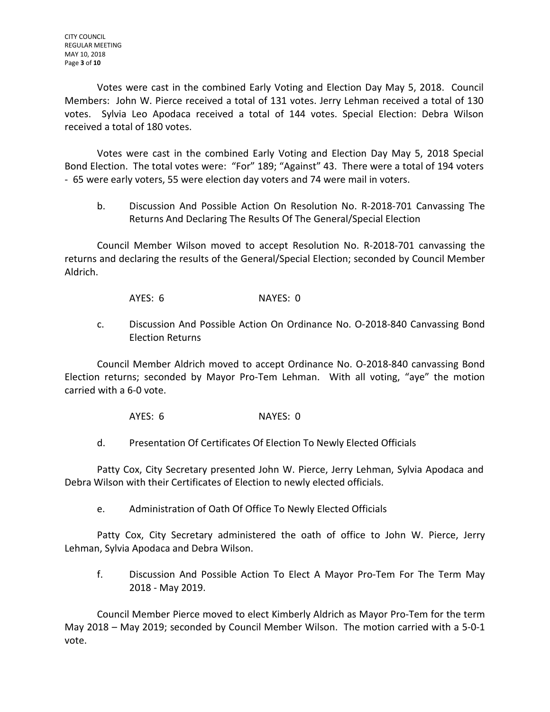Votes were cast in the combined Early Voting and Election Day May 5, 2018. Council Members: John W. Pierce received a total of 131 votes. Jerry Lehman received a total of 130 votes. Sylvia Leo Apodaca received a total of 144 votes. Special Election: Debra Wilson received a total of 180 votes.

Votes were cast in the combined Early Voting and Election Day May 5, 2018 Special Bond Election. The total votes were: "For" 189; "Against" 43. There were a total of 194 voters - 65 were early voters, 55 were election day voters and 74 were mail in voters.

b. Discussion And Possible Action On Resolution No. R-2018-701 Canvassing The Returns And Declaring The Results Of The General/Special Election

Council Member Wilson moved to accept Resolution No. R-2018-701 canvassing the returns and declaring the results of the General/Special Election; seconded by Council Member Aldrich.

AYES: 6 NAYES: 0

c. Discussion And Possible Action On Ordinance No. O-2018-840 Canvassing Bond Election Returns

Council Member Aldrich moved to accept Ordinance No. O-2018-840 canvassing Bond Election returns; seconded by Mayor Pro-Tem Lehman. With all voting, "aye" the motion carried with a 6-0 vote.

AYES: 6 NAYES: 0

d. Presentation Of Certificates Of Election To Newly Elected Officials

Patty Cox, City Secretary presented John W. Pierce, Jerry Lehman, Sylvia Apodaca and Debra Wilson with their Certificates of Election to newly elected officials.

e. Administration of Oath Of Office To Newly Elected Officials

Patty Cox, City Secretary administered the oath of office to John W. Pierce, Jerry Lehman, Sylvia Apodaca and Debra Wilson.

f. Discussion And Possible Action To Elect A Mayor Pro-Tem For The Term May 2018 - May 2019.

Council Member Pierce moved to elect Kimberly Aldrich as Mayor Pro-Tem for the term May 2018 – May 2019; seconded by Council Member Wilson. The motion carried with a 5-0-1 vote.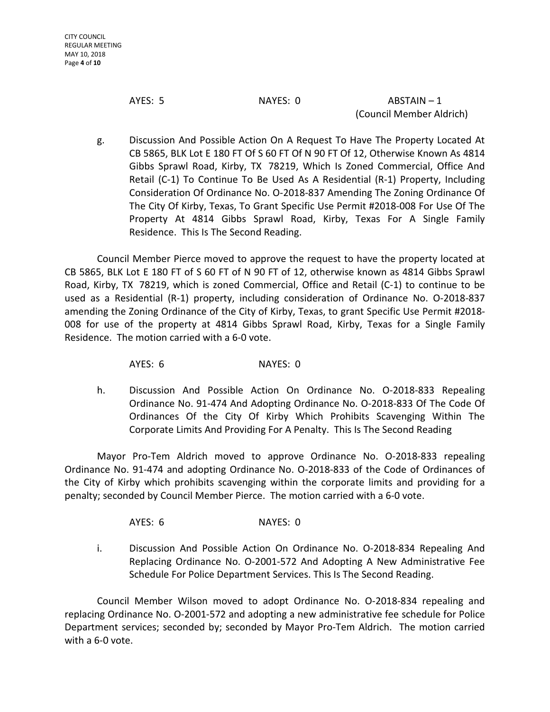AYES: 5 NAYES: 0 ABSTAIN – 1 (Council Member Aldrich)

g. Discussion And Possible Action On A Request To Have The Property Located At CB 5865, BLK Lot E 180 FT Of S 60 FT Of N 90 FT Of 12, Otherwise Known As 4814 Gibbs Sprawl Road, Kirby, TX 78219, Which Is Zoned Commercial, Office And Retail (C-1) To Continue To Be Used As A Residential (R-1) Property, Including Consideration Of Ordinance No. O-2018-837 Amending The Zoning Ordinance Of The City Of Kirby, Texas, To Grant Specific Use Permit #2018-008 For Use Of The Property At 4814 Gibbs Sprawl Road, Kirby, Texas For A Single Family Residence. This Is The Second Reading.

Council Member Pierce moved to approve the request to have the property located at CB 5865, BLK Lot E 180 FT of S 60 FT of N 90 FT of 12, otherwise known as 4814 Gibbs Sprawl Road, Kirby, TX 78219, which is zoned Commercial, Office and Retail (C-1) to continue to be used as a Residential (R-1) property, including consideration of Ordinance No. O-2018-837 amending the Zoning Ordinance of the City of Kirby, Texas, to grant Specific Use Permit #2018- 008 for use of the property at 4814 Gibbs Sprawl Road, Kirby, Texas for a Single Family Residence. The motion carried with a 6-0 vote.

AYES: 6 NAYES: 0

h. Discussion And Possible Action On Ordinance No. O-2018-833 Repealing Ordinance No. 91-474 And Adopting Ordinance No. O-2018-833 Of The Code Of Ordinances Of the City Of Kirby Which Prohibits Scavenging Within The Corporate Limits And Providing For A Penalty. This Is The Second Reading

Mayor Pro-Tem Aldrich moved to approve Ordinance No. O-2018-833 repealing Ordinance No. 91-474 and adopting Ordinance No. O-2018-833 of the Code of Ordinances of the City of Kirby which prohibits scavenging within the corporate limits and providing for a penalty; seconded by Council Member Pierce. The motion carried with a 6-0 vote.

AYES: 6 NAYES: 0

i. Discussion And Possible Action On Ordinance No. O-2018-834 Repealing And Replacing Ordinance No. O-2001-572 And Adopting A New Administrative Fee Schedule For Police Department Services. This Is The Second Reading.

Council Member Wilson moved to adopt Ordinance No. O-2018-834 repealing and replacing Ordinance No. O-2001-572 and adopting a new administrative fee schedule for Police Department services; seconded by; seconded by Mayor Pro-Tem Aldrich. The motion carried with a 6-0 vote.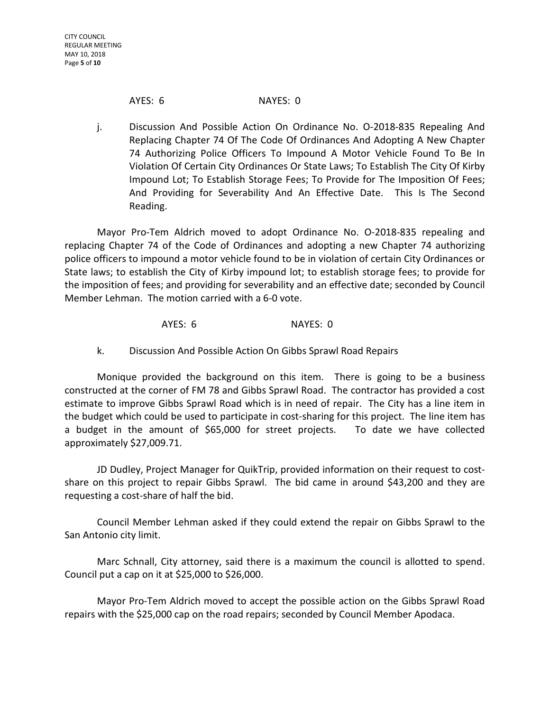### AYES: 6 NAYES: 0

j. Discussion And Possible Action On Ordinance No. O-2018-835 Repealing And Replacing Chapter 74 Of The Code Of Ordinances And Adopting A New Chapter 74 Authorizing Police Officers To Impound A Motor Vehicle Found To Be In Violation Of Certain City Ordinances Or State Laws; To Establish The City Of Kirby Impound Lot; To Establish Storage Fees; To Provide for The Imposition Of Fees; And Providing for Severability And An Effective Date. This Is The Second Reading.

Mayor Pro-Tem Aldrich moved to adopt Ordinance No. O-2018-835 repealing and replacing Chapter 74 of the Code of Ordinances and adopting a new Chapter 74 authorizing police officers to impound a motor vehicle found to be in violation of certain City Ordinances or State laws; to establish the City of Kirby impound lot; to establish storage fees; to provide for the imposition of fees; and providing for severability and an effective date; seconded by Council Member Lehman. The motion carried with a 6-0 vote.

# AYES: 6 NAYES: 0

k. Discussion And Possible Action On Gibbs Sprawl Road Repairs

Monique provided the background on this item. There is going to be a business constructed at the corner of FM 78 and Gibbs Sprawl Road. The contractor has provided a cost estimate to improve Gibbs Sprawl Road which is in need of repair. The City has a line item in the budget which could be used to participate in cost-sharing for this project. The line item has a budget in the amount of \$65,000 for street projects. To date we have collected approximately \$27,009.71.

JD Dudley, Project Manager for QuikTrip, provided information on their request to costshare on this project to repair Gibbs Sprawl. The bid came in around \$43,200 and they are requesting a cost-share of half the bid.

Council Member Lehman asked if they could extend the repair on Gibbs Sprawl to the San Antonio city limit.

Marc Schnall, City attorney, said there is a maximum the council is allotted to spend. Council put a cap on it at \$25,000 to \$26,000.

Mayor Pro-Tem Aldrich moved to accept the possible action on the Gibbs Sprawl Road repairs with the \$25,000 cap on the road repairs; seconded by Council Member Apodaca.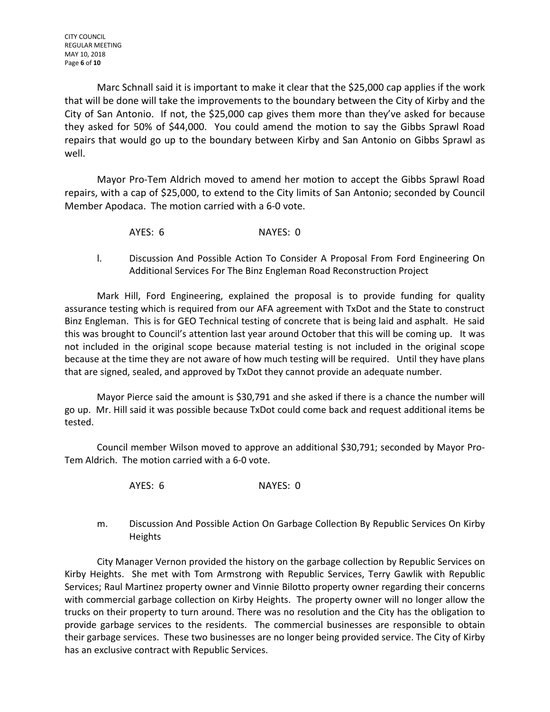CITY COUNCIL REGULAR MEETING MAY 10, 2018 Page **6** of **10**

Marc Schnall said it is important to make it clear that the \$25,000 cap applies if the work that will be done will take the improvements to the boundary between the City of Kirby and the City of San Antonio. If not, the \$25,000 cap gives them more than they've asked for because they asked for 50% of \$44,000. You could amend the motion to say the Gibbs Sprawl Road repairs that would go up to the boundary between Kirby and San Antonio on Gibbs Sprawl as well.

Mayor Pro-Tem Aldrich moved to amend her motion to accept the Gibbs Sprawl Road repairs, with a cap of \$25,000, to extend to the City limits of San Antonio; seconded by Council Member Apodaca. The motion carried with a 6-0 vote.

- AYES: 6 NAYES: 0
- l. Discussion And Possible Action To Consider A Proposal From Ford Engineering On Additional Services For The Binz Engleman Road Reconstruction Project

Mark Hill, Ford Engineering, explained the proposal is to provide funding for quality assurance testing which is required from our AFA agreement with TxDot and the State to construct Binz Engleman. This is for GEO Technical testing of concrete that is being laid and asphalt. He said this was brought to Council's attention last year around October that this will be coming up. It was not included in the original scope because material testing is not included in the original scope because at the time they are not aware of how much testing will be required. Until they have plans that are signed, sealed, and approved by TxDot they cannot provide an adequate number.

Mayor Pierce said the amount is \$30,791 and she asked if there is a chance the number will go up. Mr. Hill said it was possible because TxDot could come back and request additional items be tested.

Council member Wilson moved to approve an additional \$30,791; seconded by Mayor Pro-Tem Aldrich. The motion carried with a 6-0 vote.

- AYES: 6 NAYES: 0
- m. Discussion And Possible Action On Garbage Collection By Republic Services On Kirby Heights

City Manager Vernon provided the history on the garbage collection by Republic Services on Kirby Heights. She met with Tom Armstrong with Republic Services, Terry Gawlik with Republic Services; Raul Martinez property owner and Vinnie Bilotto property owner regarding their concerns with commercial garbage collection on Kirby Heights. The property owner will no longer allow the trucks on their property to turn around. There was no resolution and the City has the obligation to provide garbage services to the residents. The commercial businesses are responsible to obtain their garbage services. These two businesses are no longer being provided service. The City of Kirby has an exclusive contract with Republic Services.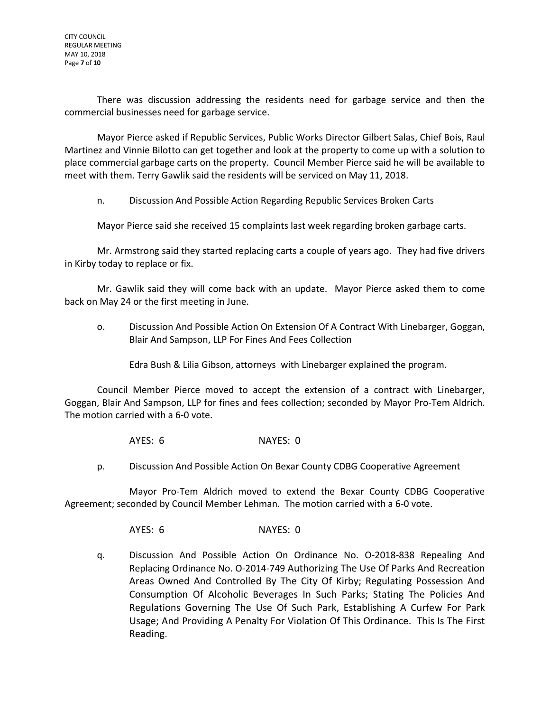There was discussion addressing the residents need for garbage service and then the commercial businesses need for garbage service.

Mayor Pierce asked if Republic Services, Public Works Director Gilbert Salas, Chief Bois, Raul Martinez and Vinnie Bilotto can get together and look at the property to come up with a solution to place commercial garbage carts on the property. Council Member Pierce said he will be available to meet with them. Terry Gawlik said the residents will be serviced on May 11, 2018.

n. Discussion And Possible Action Regarding Republic Services Broken Carts

Mayor Pierce said she received 15 complaints last week regarding broken garbage carts.

Mr. Armstrong said they started replacing carts a couple of years ago. They had five drivers in Kirby today to replace or fix.

Mr. Gawlik said they will come back with an update. Mayor Pierce asked them to come back on May 24 or the first meeting in June.

o. Discussion And Possible Action On Extension Of A Contract With Linebarger, Goggan, Blair And Sampson, LLP For Fines And Fees Collection

Edra Bush & Lilia Gibson, attorneys with Linebarger explained the program.

Council Member Pierce moved to accept the extension of a contract with Linebarger, Goggan, Blair And Sampson, LLP for fines and fees collection; seconded by Mayor Pro-Tem Aldrich. The motion carried with a 6-0 vote.

AYES: 6 NAYES: 0

p. Discussion And Possible Action On Bexar County CDBG Cooperative Agreement

Mayor Pro-Tem Aldrich moved to extend the Bexar County CDBG Cooperative Agreement; seconded by Council Member Lehman. The motion carried with a 6-0 vote.

AYES: 6 NAYES: 0

q. Discussion And Possible Action On Ordinance No. O-2018-838 Repealing And Replacing Ordinance No. O-2014-749 Authorizing The Use Of Parks And Recreation Areas Owned And Controlled By The City Of Kirby; Regulating Possession And Consumption Of Alcoholic Beverages In Such Parks; Stating The Policies And Regulations Governing The Use Of Such Park, Establishing A Curfew For Park Usage; And Providing A Penalty For Violation Of This Ordinance. This Is The First Reading.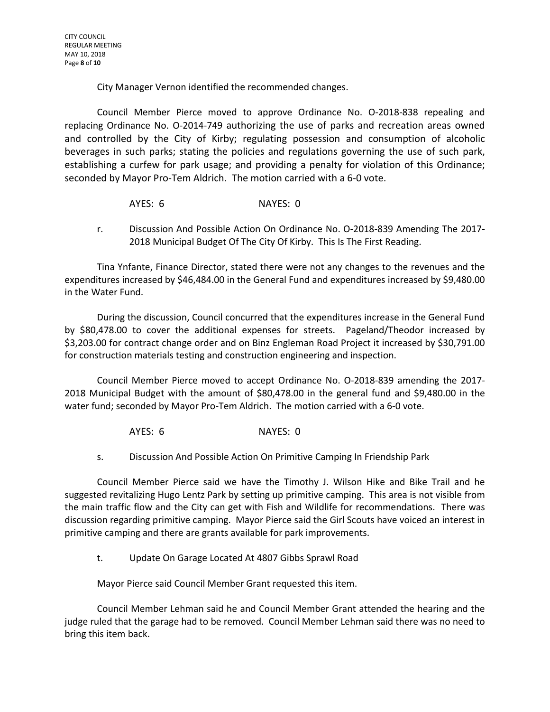City Manager Vernon identified the recommended changes.

Council Member Pierce moved to approve Ordinance No. O-2018-838 repealing and replacing Ordinance No. O-2014-749 authorizing the use of parks and recreation areas owned and controlled by the City of Kirby; regulating possession and consumption of alcoholic beverages in such parks; stating the policies and regulations governing the use of such park, establishing a curfew for park usage; and providing a penalty for violation of this Ordinance; seconded by Mayor Pro-Tem Aldrich. The motion carried with a 6-0 vote.

- AYES: 6 NAYES: 0
- r. Discussion And Possible Action On Ordinance No. O-2018-839 Amending The 2017- 2018 Municipal Budget Of The City Of Kirby. This Is The First Reading.

Tina Ynfante, Finance Director, stated there were not any changes to the revenues and the expenditures increased by \$46,484.00 in the General Fund and expenditures increased by \$9,480.00 in the Water Fund.

During the discussion, Council concurred that the expenditures increase in the General Fund by \$80,478.00 to cover the additional expenses for streets. Pageland/Theodor increased by \$3,203.00 for contract change order and on Binz Engleman Road Project it increased by \$30,791.00 for construction materials testing and construction engineering and inspection.

Council Member Pierce moved to accept Ordinance No. O-2018-839 amending the 2017- 2018 Municipal Budget with the amount of \$80,478.00 in the general fund and \$9,480.00 in the water fund; seconded by Mayor Pro-Tem Aldrich. The motion carried with a 6-0 vote.

AYES: 6 NAYES: 0

s. Discussion And Possible Action On Primitive Camping In Friendship Park

Council Member Pierce said we have the Timothy J. Wilson Hike and Bike Trail and he suggested revitalizing Hugo Lentz Park by setting up primitive camping. This area is not visible from the main traffic flow and the City can get with Fish and Wildlife for recommendations. There was discussion regarding primitive camping. Mayor Pierce said the Girl Scouts have voiced an interest in primitive camping and there are grants available for park improvements.

t. Update On Garage Located At 4807 Gibbs Sprawl Road

Mayor Pierce said Council Member Grant requested this item.

Council Member Lehman said he and Council Member Grant attended the hearing and the judge ruled that the garage had to be removed. Council Member Lehman said there was no need to bring this item back.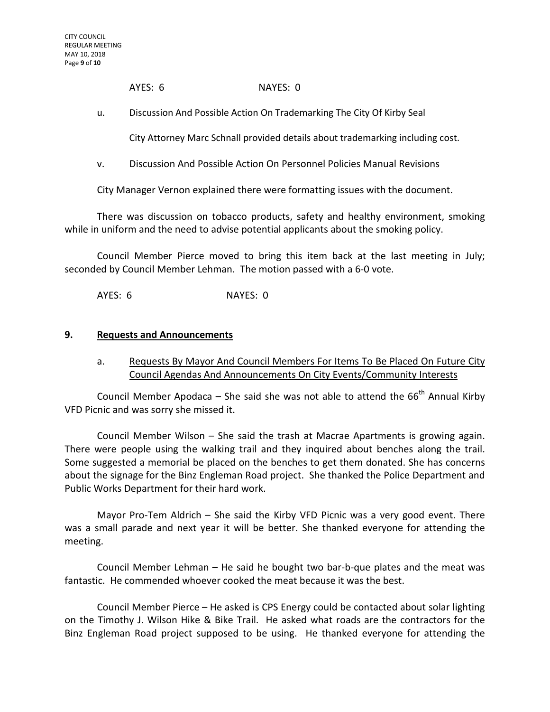AYES: 6 NAYES: 0

u. Discussion And Possible Action On Trademarking The City Of Kirby Seal

City Attorney Marc Schnall provided details about trademarking including cost.

v. Discussion And Possible Action On Personnel Policies Manual Revisions

City Manager Vernon explained there were formatting issues with the document.

There was discussion on tobacco products, safety and healthy environment, smoking while in uniform and the need to advise potential applicants about the smoking policy.

Council Member Pierce moved to bring this item back at the last meeting in July; seconded by Council Member Lehman. The motion passed with a 6-0 vote.

AYES: 6 NAYES: 0

#### **9. Requests and Announcements**

a. Requests By Mayor And Council Members For Items To Be Placed On Future City Council Agendas And Announcements On City Events/Community Interests

Council Member Apodaca – She said she was not able to attend the  $66<sup>th</sup>$  Annual Kirby VFD Picnic and was sorry she missed it.

Council Member Wilson – She said the trash at Macrae Apartments is growing again. There were people using the walking trail and they inquired about benches along the trail. Some suggested a memorial be placed on the benches to get them donated. She has concerns about the signage for the Binz Engleman Road project. She thanked the Police Department and Public Works Department for their hard work.

Mayor Pro-Tem Aldrich – She said the Kirby VFD Picnic was a very good event. There was a small parade and next year it will be better. She thanked everyone for attending the meeting.

Council Member Lehman – He said he bought two bar-b-que plates and the meat was fantastic. He commended whoever cooked the meat because it was the best.

Council Member Pierce – He asked is CPS Energy could be contacted about solar lighting on the Timothy J. Wilson Hike & Bike Trail. He asked what roads are the contractors for the Binz Engleman Road project supposed to be using. He thanked everyone for attending the